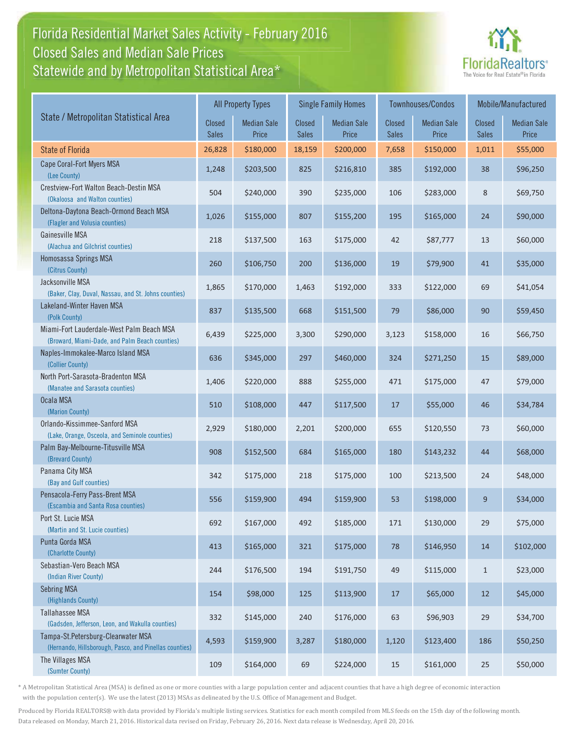## Florida Residential Market Sales Activity - February 2016 Statewide and by Metropolitan Statistical Area $^{\star}$ Closed Sales and Median Sale Prices



|                                                                                              | <b>All Property Types</b> |                             |                        | <b>Single Family Homes</b>  |                               | <b>Townhouses/Condos</b>    | Mobile/Manufactured           |                             |
|----------------------------------------------------------------------------------------------|---------------------------|-----------------------------|------------------------|-----------------------------|-------------------------------|-----------------------------|-------------------------------|-----------------------------|
| State / Metropolitan Statistical Area                                                        | Closed<br><b>Sales</b>    | <b>Median Sale</b><br>Price | <b>Closed</b><br>Sales | <b>Median Sale</b><br>Price | <b>Closed</b><br><b>Sales</b> | <b>Median Sale</b><br>Price | <b>Closed</b><br><b>Sales</b> | <b>Median Sale</b><br>Price |
| <b>State of Florida</b>                                                                      | 26,828                    | \$180,000                   | 18,159                 | \$200,000                   | 7,658                         | \$150,000                   | 1,011                         | \$55,000                    |
| Cape Coral-Fort Myers MSA<br>(Lee County)                                                    | 1,248                     | \$203,500                   | 825                    | \$216,810                   | 385                           | \$192,000                   | 38                            | \$96,250                    |
| Crestview-Fort Walton Beach-Destin MSA<br>(Okaloosa and Walton counties)                     | 504                       | \$240,000                   | 390                    | \$235,000                   | 106                           | \$283,000                   | 8                             | \$69,750                    |
| Deltona-Daytona Beach-Ormond Beach MSA<br>(Flagler and Volusia counties)                     | 1,026                     | \$155,000                   | 807                    | \$155,200                   | 195                           | \$165,000                   | 24                            | \$90,000                    |
| Gainesville MSA<br>(Alachua and Gilchrist counties)                                          | 218                       | \$137,500                   | 163                    | \$175,000                   | 42                            | \$87,777                    | 13                            | \$60,000                    |
| Homosassa Springs MSA<br>(Citrus County)                                                     | 260                       | \$106,750                   | 200                    | \$136,000                   | 19                            | \$79,900                    | 41                            | \$35,000                    |
| Jacksonville MSA<br>(Baker, Clay, Duval, Nassau, and St. Johns counties)                     | 1,865                     | \$170,000                   | 1,463                  | \$192,000                   | 333                           | \$122,000                   | 69                            | \$41,054                    |
| Lakeland-Winter Haven MSA<br>(Polk County)                                                   | 837                       | \$135,500                   | 668                    | \$151,500                   | 79                            | \$86,000                    | 90                            | \$59,450                    |
| Miami-Fort Lauderdale-West Palm Beach MSA<br>(Broward, Miami-Dade, and Palm Beach counties)  | 6,439                     | \$225,000                   | 3,300                  | \$290,000                   | 3,123                         | \$158,000                   | 16                            | \$66,750                    |
| Naples-Immokalee-Marco Island MSA<br>(Collier County)                                        | 636                       | \$345,000                   | 297                    | \$460,000                   | 324                           | \$271,250                   | 15                            | \$89,000                    |
| North Port-Sarasota-Bradenton MSA<br>(Manatee and Sarasota counties)                         | 1,406                     | \$220,000                   | 888                    | \$255,000                   | 471                           | \$175,000                   | 47                            | \$79,000                    |
| Ocala MSA<br>(Marion County)                                                                 | 510                       | \$108,000                   | 447                    | \$117,500                   | 17                            | \$55,000                    | 46                            | \$34,784                    |
| Orlando-Kissimmee-Sanford MSA<br>(Lake, Orange, Osceola, and Seminole counties)              | 2,929                     | \$180,000                   | 2,201                  | \$200,000                   | 655                           | \$120,550                   | 73                            | \$60,000                    |
| Palm Bay-Melbourne-Titusville MSA<br>(Brevard County)                                        | 908                       | \$152,500                   | 684                    | \$165,000                   | 180                           | \$143,232                   | 44                            | \$68,000                    |
| Panama City MSA<br>(Bay and Gulf counties)                                                   | 342                       | \$175,000                   | 218                    | \$175,000                   | 100                           | \$213,500                   | 24                            | \$48,000                    |
| Pensacola-Ferry Pass-Brent MSA<br>(Escambia and Santa Rosa counties)                         | 556                       | \$159,900                   | 494                    | \$159,900                   | 53                            | \$198,000                   | 9                             | \$34,000                    |
| Port St. Lucie MSA<br>(Martin and St. Lucie counties)                                        | 692                       | \$167,000                   | 492                    | \$185,000                   | 171                           | \$130,000                   | 29                            | \$75,000                    |
| Punta Gorda MSA<br>(Charlotte County)                                                        | 413                       | \$165,000                   | 321                    | \$175,000                   | 78                            | \$146,950                   | 14                            | \$102,000                   |
| Sebastian-Vero Beach MSA<br>(Indian River County)                                            | 244                       | \$176,500                   | 194                    | \$191,750                   | 49                            | \$115,000                   | $\mathbf{1}$                  | \$23,000                    |
| <b>Sebring MSA</b><br>(Highlands County)                                                     | 154                       | \$98,000                    | 125                    | \$113,900                   | 17                            | \$65,000                    | 12                            | \$45,000                    |
| <b>Tallahassee MSA</b><br>(Gadsden, Jefferson, Leon, and Wakulla counties)                   | 332                       | \$145,000                   | 240                    | \$176,000                   | 63                            | \$96,903                    | 29                            | \$34,700                    |
| Tampa-St.Petersburg-Clearwater MSA<br>(Hernando, Hillsborough, Pasco, and Pinellas counties) | 4,593                     | \$159,900                   | 3,287                  | \$180,000                   | 1,120                         | \$123,400                   | 186                           | \$50,250                    |
| The Villages MSA<br>(Sumter County)                                                          | 109                       | \$164,000                   | 69                     | \$224,000                   | $15\,$                        | \$161,000                   | 25                            | \$50,000                    |

\* A Metropolitan Statistical Area (MSA) is defined as one or more counties with a large population center and adjacent counties that have a high degree of economic interaction with the population center(s). We use the latest (2013) MSAs as delineated by the U.S. Office of Management and Budget.

Produced by Florida REALTORS® with data provided by Florida's multiple listing services. Statistics for each month compiled from MLS feeds on the 15th day of the following month. Data released on Monday, March 21, 2016. Historical data revised on Friday, February 26, 2016. Next data release is Wednesday, April 20, 2016.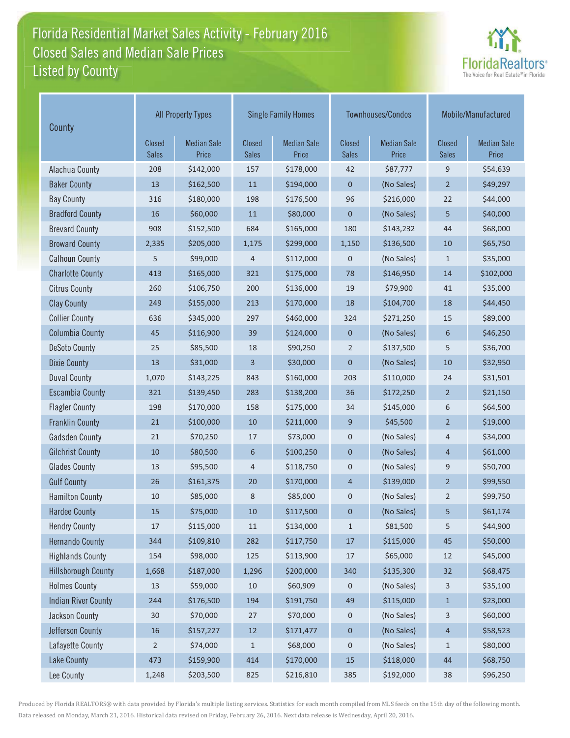## Florida Residential Market Sales Activity - February 2016 Listed by County-Closed Sales and Median Sale Prices



| County                     | <b>All Property Types</b>     |                             |                        | <b>Single Family Homes</b>  |                        | Townhouses/Condos           | Mobile/Manufactured           |                             |
|----------------------------|-------------------------------|-----------------------------|------------------------|-----------------------------|------------------------|-----------------------------|-------------------------------|-----------------------------|
|                            | <b>Closed</b><br><b>Sales</b> | <b>Median Sale</b><br>Price | Closed<br><b>Sales</b> | <b>Median Sale</b><br>Price | Closed<br><b>Sales</b> | <b>Median Sale</b><br>Price | <b>Closed</b><br><b>Sales</b> | <b>Median Sale</b><br>Price |
| Alachua County             | 208                           | \$142,000                   | 157                    | \$178,000                   | 42                     | \$87,777                    | 9                             | \$54,639                    |
| <b>Baker County</b>        | 13                            | \$162,500                   | 11                     | \$194,000                   | $\mathbf 0$            | (No Sales)                  | $\overline{2}$                | \$49,297                    |
| <b>Bay County</b>          | 316                           | \$180,000                   | 198                    | \$176,500                   | 96                     | \$216,000                   | 22                            | \$44,000                    |
| <b>Bradford County</b>     | 16                            | \$60,000                    | 11                     | \$80,000                    | $\mathbf 0$            | (No Sales)                  | 5                             | \$40,000                    |
| <b>Brevard County</b>      | 908                           | \$152,500                   | 684                    | \$165,000                   | 180                    | \$143,232                   | 44                            | \$68,000                    |
| <b>Broward County</b>      | 2,335                         | \$205,000                   | 1,175                  | \$299,000                   | 1,150                  | \$136,500                   | 10                            | \$65,750                    |
| <b>Calhoun County</b>      | 5                             | \$99,000                    | $\overline{4}$         | \$112,000                   | 0                      | (No Sales)                  | $\mathbf{1}$                  | \$35,000                    |
| <b>Charlotte County</b>    | 413                           | \$165,000                   | 321                    | \$175,000                   | 78                     | \$146,950                   | 14                            | \$102,000                   |
| <b>Citrus County</b>       | 260                           | \$106,750                   | 200                    | \$136,000                   | 19                     | \$79,900                    | 41                            | \$35,000                    |
| <b>Clay County</b>         | 249                           | \$155,000                   | 213                    | \$170,000                   | 18                     | \$104,700                   | 18                            | \$44,450                    |
| <b>Collier County</b>      | 636                           | \$345,000                   | 297                    | \$460,000                   | 324                    | \$271,250                   | 15                            | \$89,000                    |
| <b>Columbia County</b>     | 45                            | \$116,900                   | 39                     | \$124,000                   | $\mathbf 0$            | (No Sales)                  | 6                             | \$46,250                    |
| <b>DeSoto County</b>       | 25                            | \$85,500                    | 18                     | \$90,250                    | $\overline{2}$         | \$137,500                   | 5                             | \$36,700                    |
| <b>Dixie County</b>        | 13                            | \$31,000                    | 3                      | \$30,000                    | $\mathbf 0$            | (No Sales)                  | 10                            | \$32,950                    |
| <b>Duval County</b>        | 1,070                         | \$143,225                   | 843                    | \$160,000                   | 203                    | \$110,000                   | 24                            | \$31,501                    |
| <b>Escambia County</b>     | 321                           | \$139,450                   | 283                    | \$138,200                   | 36                     | \$172,250                   | $\overline{2}$                | \$21,150                    |
| <b>Flagler County</b>      | 198                           | \$170,000                   | 158                    | \$175,000                   | 34                     | \$145,000                   | 6                             | \$64,500                    |
| <b>Franklin County</b>     | 21                            | \$100,000                   | 10                     | \$211,000                   | 9                      | \$45,500                    | $\overline{2}$                | \$19,000                    |
| <b>Gadsden County</b>      | 21                            | \$70,250                    | 17                     | \$73,000                    | $\pmb{0}$              | (No Sales)                  | 4                             | \$34,000                    |
| <b>Gilchrist County</b>    | 10                            | \$80,500                    | 6                      | \$100,250                   | $\mathbf 0$            | (No Sales)                  | 4                             | \$61,000                    |
| <b>Glades County</b>       | 13                            | \$95,500                    | 4                      | \$118,750                   | $\boldsymbol{0}$       | (No Sales)                  | 9                             | \$50,700                    |
| <b>Gulf County</b>         | 26                            | \$161,375                   | 20                     | \$170,000                   | 4                      | \$139,000                   | $\overline{2}$                | \$99,550                    |
| <b>Hamilton County</b>     | 10                            | \$85,000                    | 8                      | \$85,000                    | 0                      | (No Sales)                  | 2                             | \$99,750                    |
| <b>Hardee County</b>       | 15                            | \$75,000                    | 10                     | \$117,500                   | 0                      | (No Sales)                  | 5                             | \$61,174                    |
| <b>Hendry County</b>       | 17                            | \$115,000                   | 11                     | \$134,000                   | $\mathbf{1}$           | \$81,500                    | 5                             | \$44,900                    |
| <b>Hernando County</b>     | 344                           | \$109,810                   | 282                    | \$117,750                   | $17\,$                 | \$115,000                   | 45                            | \$50,000                    |
| <b>Highlands County</b>    | 154                           | \$98,000                    | 125                    | \$113,900                   | 17                     | \$65,000                    | 12                            | \$45,000                    |
| <b>Hillsborough County</b> | 1,668                         | \$187,000                   | 1,296                  | \$200,000                   | 340                    | \$135,300                   | 32                            | \$68,475                    |
| <b>Holmes County</b>       | 13                            | \$59,000                    | 10                     | \$60,909                    | 0                      | (No Sales)                  | 3                             | \$35,100                    |
| <b>Indian River County</b> | 244                           | \$176,500                   | 194                    | \$191,750                   | 49                     | \$115,000                   | $\mathbf{1}$                  | \$23,000                    |
| Jackson County             | 30                            | \$70,000                    | 27                     | \$70,000                    | 0                      | (No Sales)                  | 3                             | \$60,000                    |
| Jefferson County           | $16\,$                        | \$157,227                   | $12\,$                 | \$171,477                   | $\pmb{0}$              | (No Sales)                  | 4                             | \$58,523                    |
| Lafayette County           | 2                             | \$74,000                    | $\mathbf{1}$           | \$68,000                    | $\pmb{0}$              | (No Sales)                  | $\mathbf{1}$                  | \$80,000                    |
| Lake County                | 473                           | \$159,900                   | 414                    | \$170,000                   | $15\,$                 | \$118,000                   | 44                            | \$68,750                    |
| Lee County                 | 1,248                         | \$203,500                   | 825                    | \$216,810                   | 385                    | \$192,000                   | 38                            | \$96,250                    |

Produced by Florida REALTORS® with data provided by Florida's multiple listing services. Statistics for each month compiled from MLS feeds on the 15th day of the following month. Data released on Monday, March 21, 2016. Historical data revised on Friday, February 26, 2016. Next data release is Wednesday, April 20, 2016.